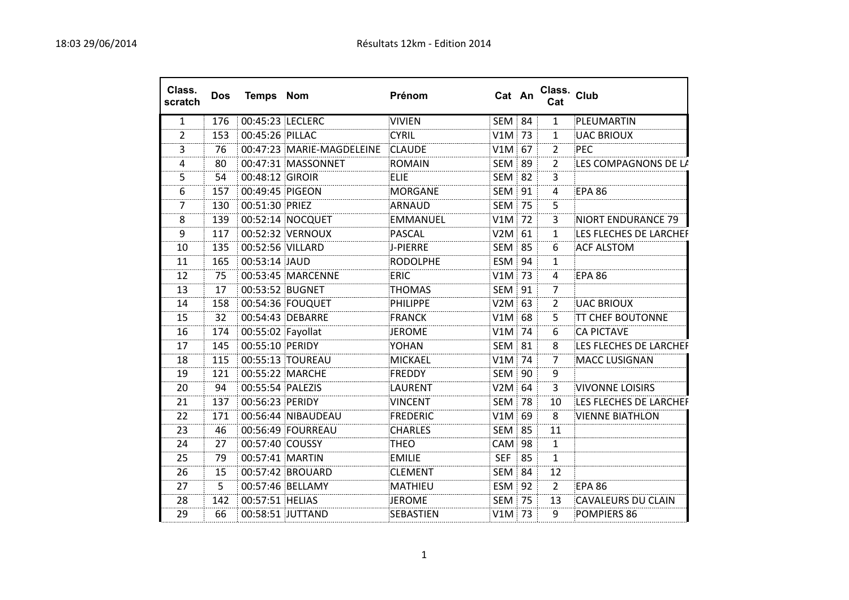| Class.<br>scratch | <b>Dos</b> | <b>Temps Nom</b>  |                           | Prénom          |            | Cat An        | Class. Club<br>Cat |                           |
|-------------------|------------|-------------------|---------------------------|-----------------|------------|---------------|--------------------|---------------------------|
| $\mathbf{1}$      | 176        |                   | 00:45:23 LECLERC          | <b>VIVIEN</b>   |            | SEM 84        | $\mathbf{1}$       | PLEUMARTIN                |
| $\overline{2}$    | 153        | 00:45:26 PILLAC   |                           | <b>CYRIL</b>    |            | V1M 73        | 1                  | <b>UAC BRIOUX</b>         |
| 3                 | 76         |                   | 00:47:23 MARIE-MAGDELEINE | <b>CLAUDE</b>   |            | $V1M$ 67      | $\overline{2}$     | <b>PEC</b>                |
| 4                 | 80         |                   | 00:47:31 MASSONNET        | <b>ROMAIN</b>   |            | <b>SEM 89</b> | 2                  | LES COMPAGNONS DE LA      |
| 5.                | 54         | 00:48:12 GIROIR   |                           | <b>ELIE</b>     |            | <b>SEM 82</b> | 3                  |                           |
| 6                 | 157        | 00:49:45 PIGEON   |                           | <b>MORGANE</b>  |            | SEM 91        | 4                  | <b>EPA 86</b>             |
| 7                 | 130        | 00:51:30 PRIEZ    |                           | ARNAUD          |            | <b>SEM 75</b> | 5.                 |                           |
| 8                 | 139        |                   | 00:52:14 NOCQUET          | <b>EMMANUEL</b> |            | $V1M$ 72      | 3                  | NIORT ENDURANCE 79        |
| 9                 | 117        |                   | 00:52:32 VERNOUX          | <b>PASCAL</b>   |            | $V2M$ 61      | 1.                 | LES FLECHES DE LARCHEF    |
| 10                | 135        | 00:52:56 VILLARD  |                           | J-PIERRE        |            | <b>SEM 85</b> | 6                  | <b>ACF ALSTOM</b>         |
| 11                | 165        | 00:53:14 JAUD     |                           | <b>RODOLPHE</b> |            | ESM 94        | 1                  |                           |
| 12                | 75         |                   | 00:53:45 MARCENNE         | <b>ERIC</b>     |            | V1M 73        | 4                  | <b>EPA 86</b>             |
| 13                | 17         |                   | 00:53:52 BUGNET           | <b>THOMAS</b>   |            | SEM 91        | $\overline{7}$     |                           |
| 14                | 158        |                   | 00:54:36 FOUQUET          | PHILIPPE        |            | $V2M$ 63      | 2                  | <b>UAC BRIOUX</b>         |
| 15                | 32         |                   | 00:54:43 DEBARRE          | <b>FRANCK</b>   |            | $V1M$ 68      | 5.                 | <b>TT CHEF BOUTONNE</b>   |
| 16                | 174        | 00:55:02 Fayollat |                           | <b>JEROME</b>   |            | $V1M$ 74      | 6                  | <b>CA PICTAVE</b>         |
| 17                | 145        | 00:55:10 PERIDY   |                           | <b>YOHAN</b>    |            | <b>SEM 81</b> | 8                  | LES FLECHES DE LARCHEF    |
| 18                | 115        |                   | 00:55:13 TOUREAU          | <b>MICKAEL</b>  |            | $V1M$ 74      | 7                  | <b>MACC LUSIGNAN</b>      |
| 19                | 121        |                   | 00:55:22 MARCHE           | <b>FREDDY</b>   |            | SEM 90        | 9                  |                           |
| 20                | 94         | 00:55:54 PALEZIS  |                           | LAURENT         |            | V2M 64        | 3                  | VIVONNE LOISIRS           |
| 21                | 137        | 00:56:23 PERIDY   |                           | <b>VINCENT</b>  |            | <b>SEM 78</b> | 10                 | LES FLECHES DE LARCHEF    |
| 22                | 171        |                   | 00:56:44 NIBAUDEAU        | <b>FREDERIC</b> |            | $V1M$ 69      | 8                  | <b>VIENNE BIATHLON</b>    |
| 23                | 46         |                   | 00:56:49 FOURREAU         | <b>CHARLES</b>  |            | <b>SEM 85</b> | 11                 |                           |
| 24                | 27         | 00:57:40 COUSSY   |                           | <b>THEO</b>     |            | <b>CAM 98</b> | $\mathbf{1}$       |                           |
| 25                | 79         | 00:57:41 MARTIN   |                           | <b>EMILIE</b>   | <b>SEF</b> | 85            | 1                  |                           |
| 26                | 15         |                   | 00:57:42 BROUARD          | <b>CLEMENT</b>  |            | <b>SEM 84</b> | 12                 |                           |
| 27                | 5          |                   | 00:57:46 BELLAMY          | <b>MATHIEU</b>  |            | ESM 92        | $\overline{2}$     | <b>EPA 86</b>             |
| 28                | 142        | 00:57:51 HELIAS   |                           | <b>JEROME</b>   |            | <b>SEM 75</b> | 13                 | <b>CAVALEURS DU CLAIN</b> |
| 29                | 66         |                   | 00:58:51 JUTTAND          | SEBASTIEN       |            | $V1M$ 73      | 9                  | POMPIERS 86               |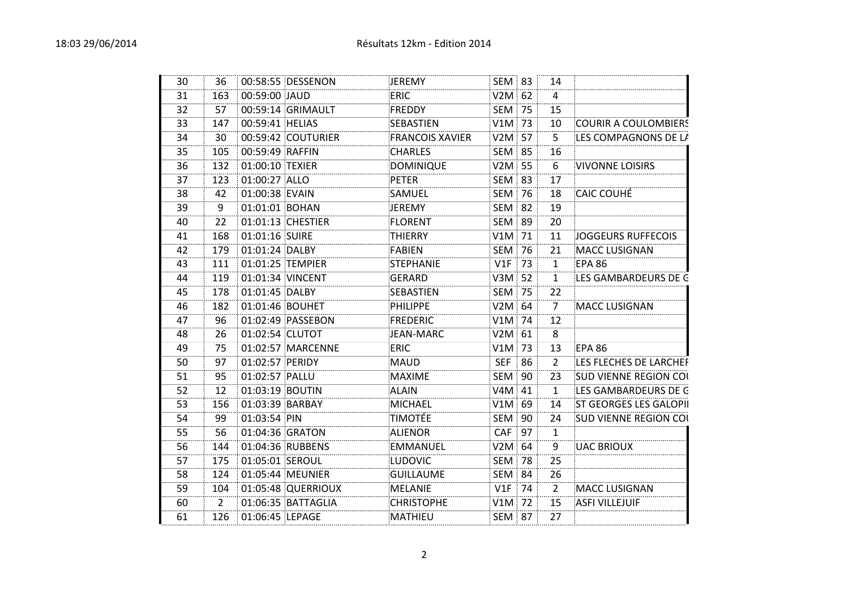| 30 | 36  |                  | 00:58:55 DESSENON  | JEREMY                 | SEM 83        |    | 14             |                               |
|----|-----|------------------|--------------------|------------------------|---------------|----|----------------|-------------------------------|
| 31 | 163 | 00:59:00 JAUD    |                    | ERIC                   | $V2M$ 62      |    | $\overline{4}$ |                               |
| 32 | 57  |                  | 00:59:14 GRIMAULT  | <b>FREDDY</b>          | <b>SEM 75</b> |    | 15             |                               |
| 33 | 147 | 00:59:41 HELIAS  |                    | SEBASTIEN              | $V1M$ 73      |    | 10             | <b>COURIR A COULOMBIERS</b>   |
| 34 | 30  |                  | 00:59:42 COUTURIER | <b>FRANCOIS XAVIER</b> | $V2M$ 57      |    | 5              | LES COMPAGNONS DE LA          |
| 35 | 105 | 00:59:49 RAFFIN  |                    | <b>CHARLES</b>         | <b>SEM 85</b> |    | 16             |                               |
| 36 | 132 | 01:00:10 TEXIER  |                    | DOMINIQUE              | $V2M$ 55      |    | 6              | <b>VIVONNE LOISIRS</b>        |
| 37 | 123 | 01:00:27 ALLO    |                    | <b>PETER</b>           | <b>SEM 83</b> |    | 17             |                               |
| 38 | 42  | 01:00:38 EVAIN   |                    | SAMUEL                 | <b>SEM 76</b> |    | 18             | <b>CAIC COUHÉ</b>             |
| 39 | 9   | 01:01:01 BOHAN   |                    | JEREMY                 | <b>SEM 82</b> |    | 19             |                               |
| 40 | 22  |                  | 01:01:13 CHESTIER  | <b>FLORENT</b>         | <b>SEM 89</b> |    | 20             |                               |
| 41 | 168 | 01:01:16 SUIRE   |                    | <b>THIERRY</b>         | V1M 71        |    | 11             | JOGGEURS RUFFECOIS            |
| 42 | 179 | 01:01:24 DALBY   |                    | FABIEN                 | <b>SEM 76</b> |    | 21             | <b>MACC LUSIGNAN</b>          |
| 43 | 111 |                  | 01:01:25 TEMPIER   | STEPHANIE              | V1F           | 73 | 1              | <b>EPA 86</b>                 |
| 44 | 119 | 01:01:34 VINCENT |                    | <b>GERARD</b>          | V3M 52        |    | $\mathbf{1}$   | LES GAMBARDEURS DE G          |
| 45 | 178 | 01:01:45 DALBY   |                    | SEBASTIEN              | <b>SEM 75</b> |    | 22             |                               |
| 46 | 182 | 01:01:46 BOUHET  |                    | PHILIPPE               | $V2M$ 64      |    | $\overline{7}$ | <b>MACC LUSIGNAN</b>          |
| 47 | 96  |                  | 01:02:49 PASSEBON  | <b>FREDERIC</b>        | $V1M$ 74      |    | 12             |                               |
| 48 | 26  | 01:02:54 CLUTOT  |                    | JEAN-MARC              | $V2M$ 61      |    | 8              |                               |
| 49 | 75  |                  | 01:02:57 MARCENNE  | <b>ERIC</b>            | $V1M$ 73      |    | 13             | <b>EPA 86</b>                 |
| 50 | 97  | 01:02:57 PERIDY  |                    | <b>MAUD</b>            | <b>SEF 86</b> |    | 2              | LES FLECHES DE LARCHEF        |
| 51 | 95  | 01:02:57 PALLU   |                    | <b>MAXIME</b>          | SEM 90        |    | 23             | <b>SUD VIENNE REGION COL</b>  |
| 52 | 12  | 01:03:19 BOUTIN  |                    | <b>ALAIN</b>           | V4M 41        |    | $\mathbf{1}$   | LES GAMBARDEURS DE G          |
| 53 | 156 | 01:03:39 BARBAY  |                    | <b>MICHAEL</b>         | $V1M$ 69      |    | 14             | <b>ST GEORGES LES GALOPII</b> |
| 54 | 99  | 01:03:54 PIN     |                    | <b>TIMOTÉE</b>         | SEM 90        |    | 24             | <b>SUD VIENNE REGION COL</b>  |
| 55 | 56  | 01:04:36 GRATON  |                    | <b>ALIENOR</b>         | <b>CAF</b>    | 97 | 1              |                               |
| 56 | 144 |                  | 01:04:36 RUBBENS   | <b>EMMANUEL</b>        | $V2M$ 64      |    | 9              | <b>UAC BRIOUX</b>             |
| 57 | 175 | 01:05:01 SEROUL  |                    | LUDOVIC                | <b>SEM 78</b> |    | 25             |                               |
| 58 | 124 |                  | 01:05:44 MEUNIER   | <b>GUILLAUME</b>       | <b>SEM 84</b> |    | 26             |                               |
| 59 | 104 |                  | 01:05:48 QUERRIOUX | <b>MELANIE</b>         | V1F           | 74 | $\overline{2}$ | <b>MACC LUSIGNAN</b>          |
| 60 | 2   |                  | 01:06:35 BATTAGLIA | <b>CHRISTOPHE</b>      | $V1M$ 72      |    | 15             | <b>ASFI VILLEJUIF</b>         |
| 61 | 126 | 01:06:45 LEPAGE  |                    | <b>MATHIEU</b>         | <b>SEM 87</b> |    | 27             |                               |
|    |     |                  |                    |                        |               |    |                |                               |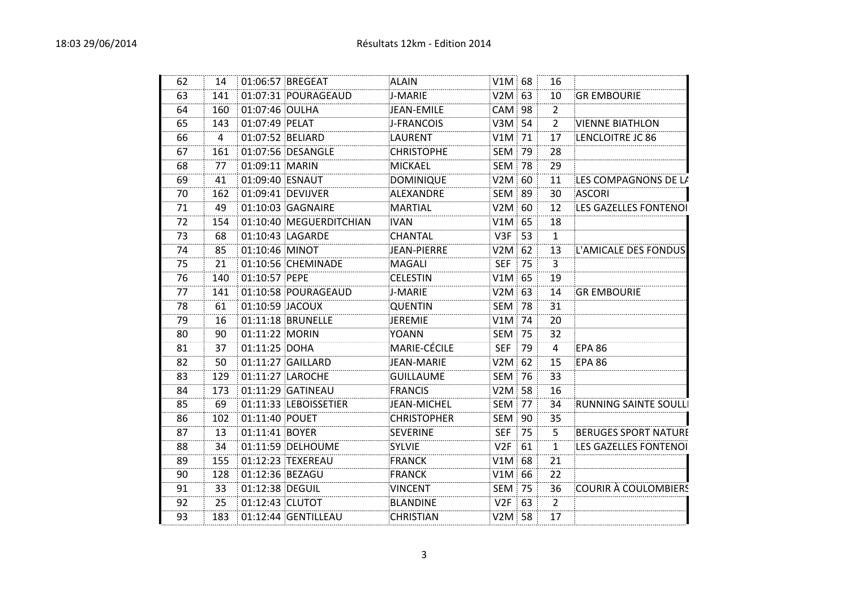| 62 | 14  |                  | 01:06:57 BREGEAT        | ALAIN              | $V1M \, \overline{\,} 68$ |    | 16             |                              |
|----|-----|------------------|-------------------------|--------------------|---------------------------|----|----------------|------------------------------|
| 63 | 141 |                  | 01:07:31 POURAGEAUD     | J-MARIE            | $V2M$ 63                  |    | 10             | <b>GR EMBOURIE</b>           |
| 64 | 160 | 01:07:46 OULHA   |                         | JEAN-EMILE         | $CAM$ 98                  |    | $\overline{2}$ |                              |
| 65 | 143 | 01:07:49 PELAT   |                         | J-FRANCOIS         | $V3M \mid 54$             |    | $\overline{2}$ | <b>VIENNE BIATHLON</b>       |
| 66 | 4   | 01:07:52 BELIARD |                         | LAURENT            | $V1M$ 71                  |    | 17             | LENCLOITRE JC 86             |
| 67 | 161 |                  | 01:07:56 DESANGLE       | <b>CHRISTOPHE</b>  | <b>SEM 79</b>             |    | 28             |                              |
| 68 | 77  | 01:09:11 MARIN   |                         | <b>MICKAEL</b>     | <b>SEM 78</b>             |    | 29             |                              |
| 69 | 41  | 01:09:40 ESNAUT  |                         | DOMINIQUE          | $V2M$ 60                  |    | 11             | LES COMPAGNONS DE LA         |
| 70 | 162 |                  | 01:09:41 DEVIJVER       | ALEXANDRE          | <b>SEM 89</b>             |    | 30             | <b>ASCORI</b>                |
| 71 | 49  |                  | 01:10:03 GAGNAIRE       | <b>MARTIAL</b>     | $V2M$ 60                  |    | 12             | LES GAZELLES FONTENOI        |
| 72 | 154 |                  | 01:10:40 MEGUERDITCHIAN | <b>IVAN</b>        | $V1M$ 65                  |    | 18             |                              |
| 73 | 68  |                  | 01:10:43 LAGARDE        | <b>CHANTAL</b>     | $V3F$ 53                  |    | $\mathbf{1}$   |                              |
| 74 | 85  | 01:10:46 MINOT   |                         | JEAN-PIERRE        | $V2M$ 62                  |    | 13             | L'AMICALE DES FONDUS         |
| 75 | 21  |                  | 01:10:56 CHEMINADE      | MAGALI             | <b>SEF</b>                | 75 | 3              |                              |
| 76 | 140 | 01:10:57 PEPE    |                         | <b>CELESTIN</b>    | $V1M$ 65                  |    | 19             |                              |
| 77 | 141 |                  | 01:10:58 POURAGEAUD     | J-MARIE            | $V2M$ 63                  |    | 14             | <b>GR EMBOURIE</b>           |
| 78 | 61  | 01:10:59 JACOUX  |                         | <b>QUENTIN</b>     | <b>SEM 78</b>             |    | 31             |                              |
| 79 | 16  |                  | 01:11:18 BRUNELLE       | JEREMIE            | $V1M$ 74                  |    | 20             |                              |
| 80 | 90  | 01:11:22 MORIN   |                         | YOANN              | <b>SEM 75</b>             |    | 32             |                              |
| 81 | 37  | 01:11:25 DOHA    |                         | MARIE-CÉCILE       | <b>SEF</b>                | 79 | 4              | <b>EPA 86</b>                |
| 82 | 50  |                  | 01:11:27 GAILLARD       | JEAN-MARIE         | $V2M$ 62                  |    | 15             | <b>EPA 86</b>                |
| 83 | 129 |                  | 01:11:27 LAROCHE        | GUILLAUME          | <b>SEM 76</b>             |    | 33             |                              |
| 84 | 173 |                  | 01:11:29 GATINEAU       | FRANCIS            | $V2M$ 58                  |    | 16             |                              |
| 85 | 69  |                  | 01:11:33 LEBOISSETIER   | JEAN-MICHEL        | <b>SEM 77</b>             |    | 34             | <b>RUNNING SAINTE SOULLI</b> |
| 86 | 102 | 01:11:40 POUET   |                         | <b>CHRISTOPHER</b> | SEM 90                    |    | 35             |                              |
| 87 | 13  | 01:11:41 BOYER   |                         | SEVERINE           | <b>SEF</b>                | 75 | 5              | <b>BERUGES SPORT NATURE</b>  |
| 88 | 34  |                  | 01:11:59 DELHOUME       | <b>SYLVIE</b>      | V2F                       | 61 | $\mathbf{1}$   | LES GAZELLES FONTENOI        |
| 89 | 155 |                  | 01:12:23 TEXEREAU       | FRANCK             | $V1M$ 68                  |    | 21             |                              |
| 90 | 128 | 01:12:36 BEZAGU  |                         | <b>FRANCK</b>      | $V1M$ 66                  |    | 22             |                              |
| 91 | 33  | 01:12:38 DEGUIL  |                         | <b>VINCENT</b>     | <b>SEM 75</b>             |    | 36             | COURIR À COULOMBIERS         |
| 92 | 25  | 01:12:43 CLUTOT  |                         | BLANDINE           | $V2F$ 63                  |    | $\overline{2}$ |                              |
| 93 | 183 |                  | 01:12:44 GENTILLEAU     | <b>CHRISTIAN</b>   | $V2M$ 58                  |    | 17             |                              |
|    |     |                  |                         |                    |                           |    |                |                              |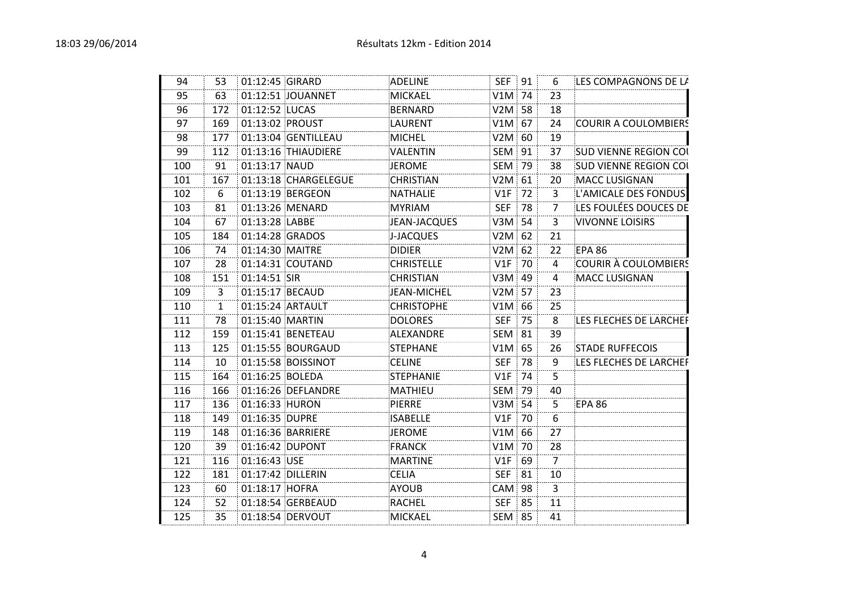| 94  | 53  | 01:12:45 GIRARD |                      | <b>ADELINE</b>    | SEF 91        |    | 6              | LES COMPAGNONS DE LA         |
|-----|-----|-----------------|----------------------|-------------------|---------------|----|----------------|------------------------------|
| 95  | 63  |                 | 01:12:51 JOUANNET    | <b>MICKAEL</b>    | $V1M$ 74      |    | 23             |                              |
| 96  | 172 | 01:12:52 LUCAS  |                      | BERNARD           | $V2M \mid 58$ |    | 18             |                              |
| 97  | 169 | 01:13:02 PROUST |                      | <b>LAURENT</b>    | $V1M$ 67      |    | 24             | COURIR A COULOMBIERS         |
| 98  | 177 |                 | 01:13:04 GENTILLEAU  | <b>MICHEL</b>     | $V2M \mid 60$ |    | 19             |                              |
| 99  | 112 |                 | 01:13:16 THIAUDIERE  | <b>VALENTIN</b>   | SEM 91        |    | 37             | <b>SUD VIENNE REGION COL</b> |
| 100 | 91  | 01:13:17 NAUD   |                      | <b>JEROME</b>     | <b>SEM 79</b> |    | 38             | <b>SUD VIENNE REGION COL</b> |
| 101 | 167 |                 | 01:13:18 CHARGELEGUE | <b>CHRISTIAN</b>  | $V2M$ 61      |    | 20             | <b>MACC LUSIGNAN</b>         |
| 102 | 6   |                 | 01:13:19 BERGEON     | <b>NATHALIE</b>   | $V1F$ 72      |    | 3.             | L'AMICALE DES FONDUS         |
| 103 | 81  |                 | 01:13:26 MENARD      | <b>MYRIAM</b>     | <b>SEF 78</b> |    | $\overline{7}$ | LES FOULÉES DOUCES DE        |
| 104 | 67  | 01:13:28 LABBE  |                      | JEAN-JACQUES      | $V3M$ 54      |    | 3              | <b>VIVONNE LOISIRS</b>       |
| 105 | 184 |                 | 01:14:28 GRADOS      | J-JACQUES         | $V2M$ 62      |    | 21             |                              |
| 106 | 74  | 01:14:30 MAITRE |                      | <b>DIDIER</b>     | $V2M$ 62      |    | 22             | <b>EPA 86</b>                |
| 107 | 28  |                 | 01:14:31 COUTAND     | <b>CHRISTELLE</b> | $V1F$ 70      |    | 4              | <b>COURIR À COULOMBIERS</b>  |
| 108 | 151 | 01:14:51 SIR    |                      | <b>CHRISTIAN</b>  | $V3M$ 49      |    | 4              | <b>MACC LUSIGNAN</b>         |
| 109 | 3   | 01:15:17 BECAUD |                      | JEAN-MICHEL       | $V2M$ 57      |    | 23             |                              |
| 110 | 1   |                 | 01:15:24 ARTAULT     | <b>CHRISTOPHE</b> | $V1M$ 66      |    | 25             |                              |
| 111 | 78  | 01:15:40 MARTIN |                      | <b>DOLORES</b>    | SEF 75        |    | 8              | LES FLECHES DE LARCHER       |
| 112 | 159 |                 | 01:15:41 BENETEAU    | ALEXANDRE         | <b>SEM 81</b> |    | 39             |                              |
| 113 | 125 |                 | 01:15:55 BOURGAUD    | STEPHANE          | $V1M$ 65      |    | 26             | <b>STADE RUFFECOIS</b>       |
| 114 | 10  |                 | 01:15:58 BOISSINOT   | <b>CELINE</b>     | <b>SEF 78</b> |    | 9              | LES FLECHES DE LARCHEF       |
| 115 | 164 | 01:16:25 BOLEDA |                      | <b>STEPHANIE</b>  | $V1F$ 74      |    | 5              |                              |
| 116 | 166 |                 | 01:16:26 DEFLANDRE   | <b>MATHIEU</b>    | <b>SEM 79</b> |    | 40             |                              |
| 117 | 136 | 01:16:33 HURON  |                      | <b>PIERRE</b>     | $V3M$ 54      |    | 5              | EPA 86                       |
| 118 | 149 | 01:16:35 DUPRE  |                      | <b>ISABELLE</b>   | $V1F$ 70      |    | 6              |                              |
| 119 | 148 |                 | 01:16:36 BARRIERE    | <b>JEROME</b>     | $V1M$ 66      |    | 27             |                              |
| 120 | 39  | 01:16:42 DUPONT |                      | <b>FRANCK</b>     | V1M 70        |    | 28             |                              |
| 121 | 116 | 01:16:43 USE    |                      | <b>MARTINE</b>    | $V1F$ 69      |    | 7              |                              |
| 122 | 181 |                 | 01:17:42 DILLERIN    | <b>CELIA</b>      | <b>SEF</b>    | 81 | 10             |                              |
| 123 | 60  | 01:18:17 HOFRA  |                      | <b>AYOUB</b>      | <b>CAM 98</b> |    | $\overline{3}$ |                              |
| 124 | 52  |                 | 01:18:54 GERBEAUD    | <b>RACHEL</b>     | <b>SEF 85</b> |    | 11             |                              |
| 125 | 35  |                 | 01:18:54 DERVOUT     | <b>MICKAEL</b>    | <b>SEM 85</b> |    | 41             |                              |
|     |     |                 |                      |                   |               |    |                |                              |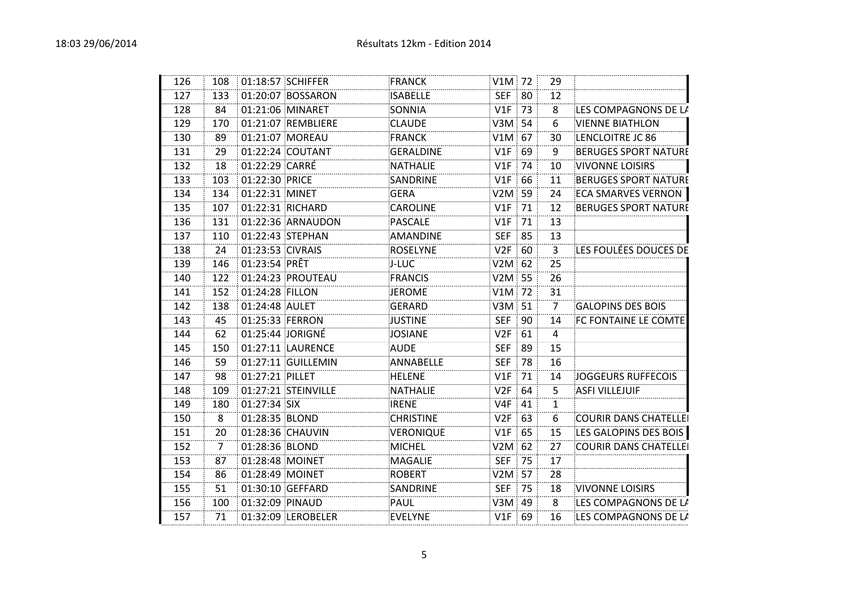| 126 | 108            |                  | 01:18:57 SCHIFFER   | <b>FRANCK</b>    | $V1M$ 72      |    | 29             |                              |
|-----|----------------|------------------|---------------------|------------------|---------------|----|----------------|------------------------------|
| 127 | 133            |                  | 01:20:07 BOSSARON   | <b>ISABELLE</b>  | SEF           | 80 | 12             |                              |
| 128 | 84             |                  | 01:21:06 MINARET    | SONNIA           | $V1F$ 73      |    | 8              | LES COMPAGNONS DE LA         |
| 129 | 170            |                  | 01:21:07 REMBLIERE  | <b>CLAUDE</b>    | $V3M \mid 54$ |    | 6              | <b>VIENNE BIATHLON</b>       |
| 130 | 89             |                  | 01:21:07 MOREAU     | <b>FRANCK</b>    | $V1M$ 67      |    | 30             | LENCLOITRE JC 86             |
| 131 | 29             |                  | 01:22:24 COUTANT    | <b>GERALDINE</b> | V1F           | 69 | 9              | <b>BERUGES SPORT NATURE</b>  |
| 132 | 18             | 01:22:29 CARRÉ   |                     | <b>NATHALIE</b>  | $V1F$ 74      |    | 10             | <b>VIVONNE LOISIRS</b>       |
| 133 | 103            | 01:22:30 PRICE   |                     | SANDRINE         | V1F           | 66 | 11             | <b>BERUGES SPORT NATURE</b>  |
| 134 | 134            | 01:22:31 MINET   |                     | <b>GERA</b>      | $V2M \mid 59$ |    | 24             | <b>ECA SMARVES VERNON</b>    |
| 135 | 107            |                  | 01:22:31 RICHARD    | <b>CAROLINE</b>  | V1F           | 71 | 12             | <b>BERUGES SPORT NATURE</b>  |
| 136 | 131            |                  | 01:22:36 ARNAUDON   | <b>PASCALE</b>   | V1F           | 71 | 13             |                              |
| 137 | 110            |                  | 01:22:43 STEPHAN    | <b>AMANDINE</b>  | <b>SEF</b>    | 85 | 13             |                              |
| 138 | 24             | 01:23:53 CIVRAIS |                     | <b>ROSELYNE</b>  | V2F           | 60 | 3              | LES FOULÉES DOUCES DE        |
| 139 | 146            | 01:23:54 PRÊT    |                     | J-LUC            | $V2M$ 62      |    | 25             |                              |
| 140 | 122            |                  | 01:24:23 PROUTEAU   | <b>FRANCIS</b>   | $V2M$ 55      |    | 26             |                              |
| 141 | 152            | 01:24:28 FILLON  |                     | <b>JEROME</b>    | V1M 72        |    | 31             |                              |
| 142 | 138            | 01:24:48 AULET   |                     | <b>GERARD</b>    | V3M 51        |    | $\overline{7}$ | <b>GALOPINS DES BOIS</b>     |
| 143 | 45             | 01:25:33 FERRON  |                     | <b>JUSTINE</b>   | SEF           | 90 | 14             | FC FONTAINE LE COMTE         |
| 144 | 62             | 01:25:44 JORIGNÉ |                     | <b>JOSIANE</b>   | V2F           | 61 | 4              |                              |
| 145 | 150            |                  | 01:27:11 LAURENCE   | <b>AUDE</b>      | <b>SEF</b>    | 89 | 15             |                              |
| 146 | 59             |                  | 01:27:11 GUILLEMIN  | ANNABELLE        | <b>SEF</b>    | 78 | 16             |                              |
| 147 | 98             | 01:27:21 PILLET  |                     | <b>HELENE</b>    | V1F           | 71 | 14             | JOGGEURS RUFFECOIS           |
| 148 | 109            |                  | 01:27:21 STEINVILLE | <b>NATHALIE</b>  | V2F           | 64 | 5              | <b>ASFI VILLEJUIF</b>        |
| 149 | 180            | 01:27:34 SIX     |                     | <b>IRENE</b>     | V4F           | 41 | $\mathbf{1}$   |                              |
| 150 | 8              | 01:28:35 BLOND   |                     | <b>CHRISTINE</b> | $V2F$ 63      |    | 6              | <b>COURIR DANS CHATELLEI</b> |
| 151 | 20             |                  | 01:28:36 CHAUVIN    | VERONIQUE        | V1F           | 65 | 15             | LES GALOPINS DES BOIS        |
| 152 | $\overline{7}$ | 01:28:36 BLOND   |                     | MICHEL           | $V2M$ 62      |    | 27             | <b>COURIR DANS CHATELLEI</b> |
| 153 | 87             | 01:28:48 MOINET  |                     | <b>MAGALIE</b>   | <b>SEF 75</b> |    | 17             |                              |
| 154 | 86             | 01:28:49 MOINET  |                     | <b>ROBERT</b>    | $V2M$ 57      |    | 28             |                              |
| 155 | 51             |                  | 01:30:10 GEFFARD    | SANDRINE         | <b>SEF</b>    | 75 | 18             | <b>VIVONNE LOISIRS</b>       |
| 156 | 100            | 01:32:09 PINAUD  |                     | PAUL             | V3M 49        |    | 8              | LES COMPAGNONS DE LA         |
| 157 | 71             |                  | 01:32:09 LEROBELER  | <b>EVELYNE</b>   | $V1F$ 69      |    | 16             | LES COMPAGNONS DE LA         |
|     |                |                  |                     |                  |               |    |                |                              |